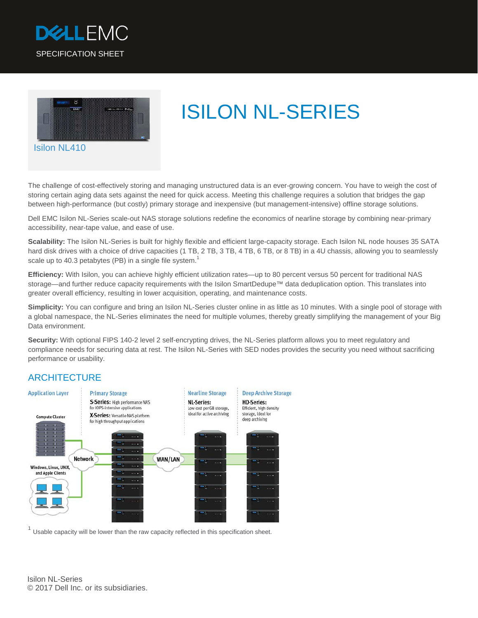



# ISILON NL-SERIES

The challenge of cost-effectively storing and managing unstructured data is an ever-growing concern. You have to weigh the cost of storing certain aging data sets against the need for quick access. Meeting this challenge requires a solution that bridges the gap between high-performance (but costly) primary storage and inexpensive (but management-intensive) offline storage solutions.

Dell EMC Isilon NL-Series scale-out NAS storage solutions redefine the economics of nearline storage by combining near-primary accessibility, near-tape value, and ease of use.

**Scalability:** The Isilon NL-Series is built for highly flexible and efficient large-capacity storage. Each Isilon NL node houses 35 SATA hard disk drives with a choice of drive capacities (1 TB, 2 TB, 3 TB, 4 TB, 6 TB, or 8 TB) in a 4U chassis, allowing you to seamlessly scale up to 40.3 petabytes (PB) in a single file system.<sup>1</sup>

**Efficiency:** With Isilon, you can achieve highly efficient utilization rates—up to 80 percent versus 50 percent for traditional NAS storage—and further reduce capacity requirements with the Isilon SmartDedupe™ data deduplication option. This translates into greater overall efficiency, resulting in lower acquisition, operating, and maintenance costs.

**Simplicity:** You can configure and bring an Isilon NL-Series cluster online in as little as 10 minutes. With a single pool of storage with a global namespace, the NL-Series eliminates the need for multiple volumes, thereby greatly simplifying the management of your Big Data environment.

**Security:** With optional FIPS 140-2 level 2 self-encrypting drives, the NL-Series platform allows you to meet regulatory and compliance needs for securing data at rest. The Isilon NL-Series with SED nodes provides the security you need without sacrificing performance or usability.

### **ARCHITECTURE**



 $1$  Usable capacity will be lower than the raw capacity reflected in this specification sheet.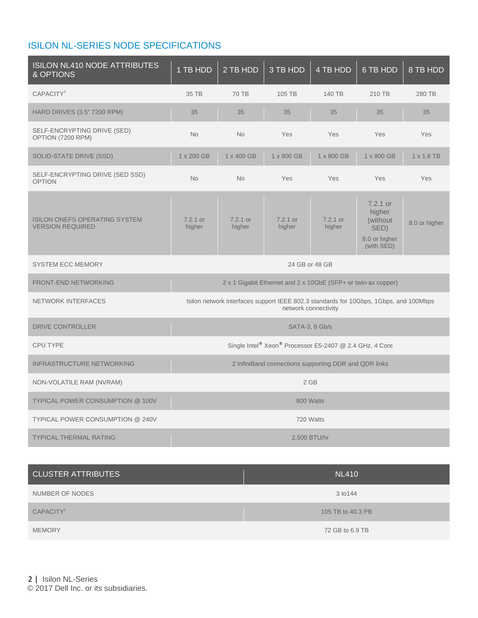## ISILON NL-SERIES NODE SPECIFICATIONS

| <b>ISILON NL410 NODE ATTRIBUTES</b><br>& OPTIONS                | 1 TB HDD                                                                                                      | 2 TB HDD           | 3 TB HDD           | 4 TB HDD           | 6 TB HDD                                                                 | 8 TB HDD          |
|-----------------------------------------------------------------|---------------------------------------------------------------------------------------------------------------|--------------------|--------------------|--------------------|--------------------------------------------------------------------------|-------------------|
| CAPACITY <sup>1</sup>                                           | 35 TB                                                                                                         | 70 TB              | 105 TB             | 140 TB             | 210 TB                                                                   | 280 TB            |
| HARD DRIVES (3.5" 7200 RPM)                                     | 35                                                                                                            | 35                 | 35                 | 35                 | 35                                                                       | 35                |
| SELF-ENCRYPTING DRIVE (SED)<br>OPTION (7200 RPM)                | <b>No</b>                                                                                                     | <b>No</b>          | Yes                | Yes                | Yes                                                                      | Yes               |
| SOLID-STATE DRIVE (SSD)                                         | 1 x 200 GB                                                                                                    | 1 x 400 GB         | 1 x 800 GB         | 1 x 800 GB         | 1 x 800 GB                                                               | $1 \times 1.6$ TB |
| SELF-ENCRYPTING DRIVE (SED SSD)<br><b>OPTION</b>                | <b>No</b>                                                                                                     | <b>No</b>          | Yes                | Yes                | Yes                                                                      | Yes               |
| <b>ISILON ONEFS OPERATING SYSTEM</b><br><b>VERSION REQUIRED</b> | 7.2.1 or<br>higher                                                                                            | 7.2.1 or<br>higher | 7.2.1 or<br>higher | 7.2.1 or<br>higher | $7.2.1$ or<br>higher<br>(without)<br>SED)<br>8.0 or higher<br>(with SED) | 8.0 or higher     |
| <b>SYSTEM ECC MEMORY</b>                                        | 24 GB or 48 GB                                                                                                |                    |                    |                    |                                                                          |                   |
| <b>FRONT-END NETWORKING</b>                                     | 2 x 1 Gigabit Ethernet and 2 x 10GbE (SFP+ or twin-ax copper)                                                 |                    |                    |                    |                                                                          |                   |
| <b>NETWORK INTERFACES</b>                                       | Isilon network interfaces support IEEE 802.3 standards for 10Gbps, 1Gbps, and 100Mbps<br>network connectivity |                    |                    |                    |                                                                          |                   |
| <b>DRIVE CONTROLLER</b>                                         | SATA-3, 6 Gb/s                                                                                                |                    |                    |                    |                                                                          |                   |
| <b>CPU TYPE</b>                                                 | Single Intel® Xeon® Processor E5-2407 @ 2.4 GHz, 4 Core                                                       |                    |                    |                    |                                                                          |                   |
| <b>INFRASTRUCTURE NETWORKING</b>                                | 2 InfiniBand connections supporting DDR and QDR links                                                         |                    |                    |                    |                                                                          |                   |
| NON-VOLATILE RAM (NVRAM)                                        | 2 GB                                                                                                          |                    |                    |                    |                                                                          |                   |
| <b>TYPICAL POWER CONSUMPTION @ 100V</b>                         | 800 Watts                                                                                                     |                    |                    |                    |                                                                          |                   |
| TYPICAL POWER CONSUMPTION @ 240V                                | 720 Watts                                                                                                     |                    |                    |                    |                                                                          |                   |
| <b>TYPICAL THERMAL RATING</b>                                   | 2,500 BTU/hr                                                                                                  |                    |                    |                    |                                                                          |                   |

| <b>CLUSTER ATTRIBUTES</b> | <b>NL410</b>      |
|---------------------------|-------------------|
| NUMBER OF NODES           | 3 to 144          |
| CAPACITY <sup>1</sup>     | 105 TB to 40.3 PB |
| <b>MEMORY</b>             | 72 GB to 6.9 TB   |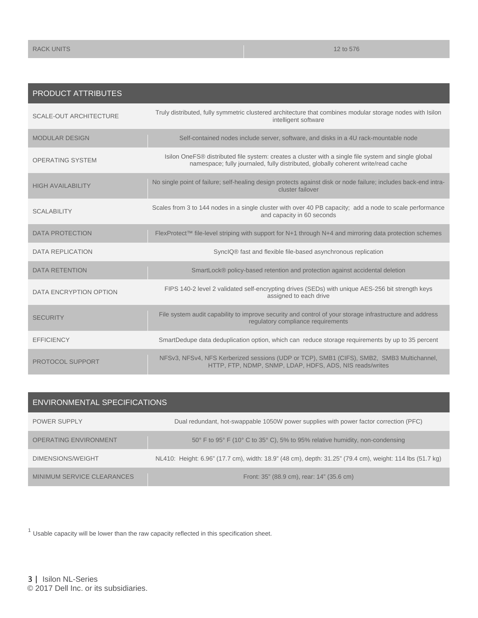| <b>PRODUCT ATTRIBUTES</b>     |                                                                                                                                                                                           |
|-------------------------------|-------------------------------------------------------------------------------------------------------------------------------------------------------------------------------------------|
| <b>SCALE-OUT ARCHITECTURE</b> | Truly distributed, fully symmetric clustered architecture that combines modular storage nodes with Isilon<br>intelligent software                                                         |
| <b>MODULAR DESIGN</b>         | Self-contained nodes include server, software, and disks in a 4U rack-mountable node                                                                                                      |
| <b>OPERATING SYSTEM</b>       | Isilon OneFS® distributed file system: creates a cluster with a single file system and single global<br>namespace; fully journaled, fully distributed, globally coherent write/read cache |
| <b>HIGH AVAILABILITY</b>      | No single point of failure; self-healing design protects against disk or node failure; includes back-end intra-<br>cluster failover                                                       |
| <b>SCALABILITY</b>            | Scales from 3 to 144 nodes in a single cluster with over 40 PB capacity; add a node to scale performance<br>and capacity in 60 seconds                                                    |
| <b>DATA PROTECTION</b>        | FlexProtect™ file-level striping with support for N+1 through N+4 and mirroring data protection schemes                                                                                   |
| <b>DATA REPLICATION</b>       | SyncIQ® fast and flexible file-based asynchronous replication                                                                                                                             |
| <b>DATA RETENTION</b>         | SmartLock® policy-based retention and protection against accidental deletion                                                                                                              |
| DATA ENCRYPTION OPTION        | FIPS 140-2 level 2 validated self-encrypting drives (SEDs) with unique AES-256 bit strength keys<br>assigned to each drive                                                                |
| <b>SECURITY</b>               | File system audit capability to improve security and control of your storage infrastructure and address<br>regulatory compliance requirements                                             |
| <b>EFFICIENCY</b>             | SmartDedupe data deduplication option, which can reduce storage requirements by up to 35 percent                                                                                          |
| PROTOCOL SUPPORT              | NFSv3, NFSv4, NFS Kerberized sessions (UDP or TCP), SMB1 (CIFS), SMB2, SMB3 Multichannel,<br>HTTP, FTP, NDMP, SNMP, LDAP, HDFS, ADS, NIS reads/writes                                     |

| ENVIRONMENTAL SPECIFICATIONS |                                                                                                          |  |  |  |
|------------------------------|----------------------------------------------------------------------------------------------------------|--|--|--|
| <b>POWER SUPPLY</b>          | Dual redundant, hot-swappable 1050W power supplies with power factor correction (PFC)                    |  |  |  |
| <b>OPERATING ENVIRONMENT</b> | 50° F to 95° F (10° C to 35° C), 5% to 95% relative humidity, non-condensing                             |  |  |  |
| DIMENSIONS/WEIGHT            | NL410: Height: 6.96" (17.7 cm), width: 18.9" (48 cm), depth: 31.25" (79.4 cm), weight: 114 lbs (51.7 kg) |  |  |  |
| MINIMUM SERVICE CLEARANCES   | Front: 35" (88.9 cm), rear: 14" (35.6 cm)                                                                |  |  |  |

 $1$  Usable capacity will be lower than the raw capacity reflected in this specification sheet.